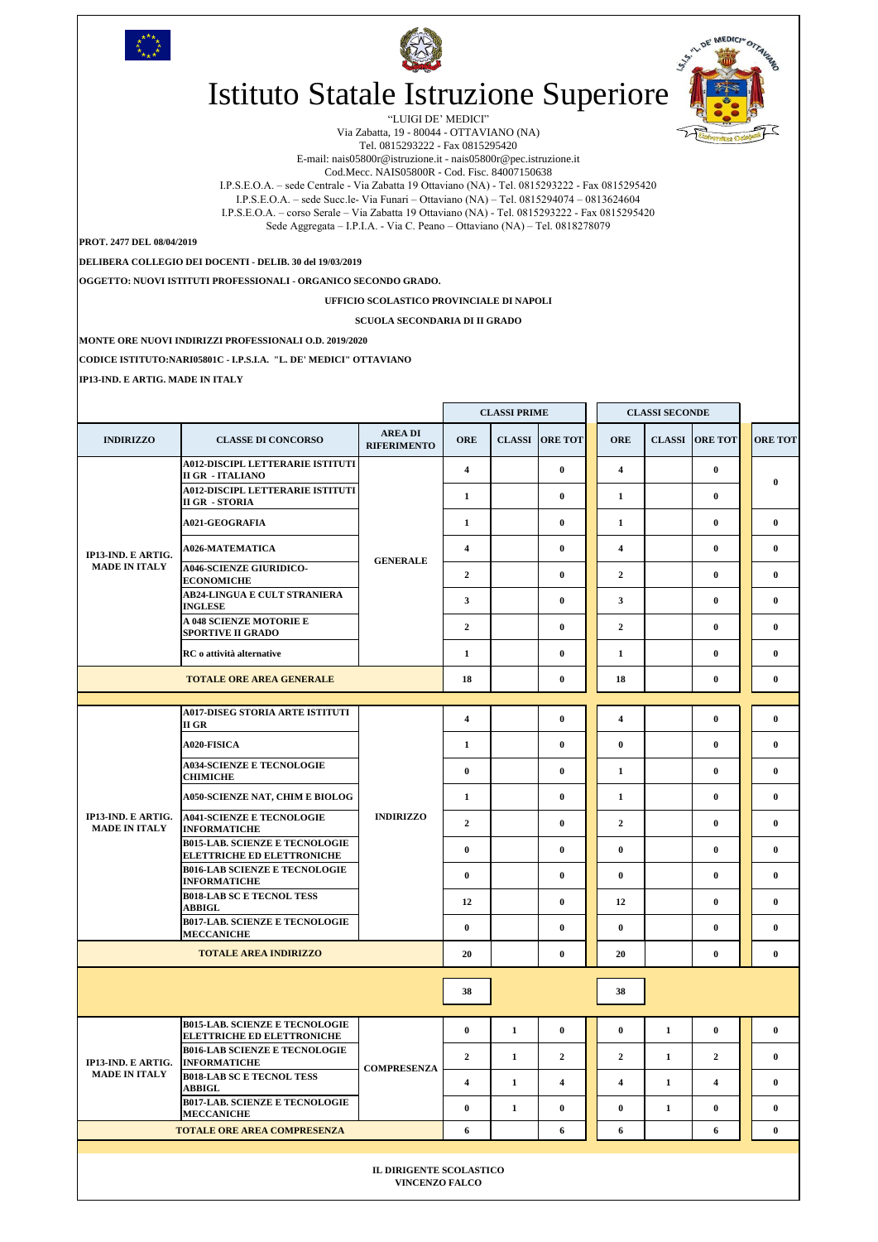|                                                  |                                                                                                                                        |                                      | <b>CLASSI PRIME</b>          |              |                       | <b>CLASSI SECONDE</b>                   |               |                          |                          |
|--------------------------------------------------|----------------------------------------------------------------------------------------------------------------------------------------|--------------------------------------|------------------------------|--------------|-----------------------|-----------------------------------------|---------------|--------------------------|--------------------------|
| <b>INDIRIZZO</b>                                 | <b>CLASSE DI CONCORSO</b>                                                                                                              | <b>AREA DI</b><br><b>RIFERIMENTO</b> | <b>ORE</b>                   |              | <b>CLASSI ORE TOT</b> | <b>ORE</b>                              | <b>CLASSI</b> | <b>ORE TOT</b>           | <b>ORE TOT</b>           |
|                                                  | <b>A012-DISCIPL LETTERARIE ISTITUTI</b><br><b>II GR - ITALIANO</b><br><b>A012-DISCIPL LETTERARIE ISTITUTI</b><br><b>II GR - STORIA</b> | <b>GENERALE</b>                      | $\overline{\mathbf{4}}$<br>1 |              | $\bf{0}$<br>$\bf{0}$  | $\overline{4}$<br>1                     |               | $\bf{0}$<br>$\bf{0}$     | $\bf{0}$                 |
|                                                  | <b>A021-GEOGRAFIA</b>                                                                                                                  |                                      | $\mathbf{1}$                 |              | $\bf{0}$              | $\mathbf{1}$                            |               | $\bf{0}$                 | $\mathbf{0}$             |
| IP13-IND. E ARTIG.<br><b>MADE IN ITALY</b>       | <b>A026-MATEMATICA</b>                                                                                                                 |                                      | $\overline{\mathbf{4}}$      |              | $\bf{0}$              | $\overline{4}$                          |               | $\bf{0}$                 | $\mathbf{0}$             |
|                                                  | <b>A046-SCIENZE GIURIDICO-</b><br><b>ECONOMICHE</b>                                                                                    |                                      | $\mathbf{2}$                 |              | $\bf{0}$              | $\overline{2}$                          |               | $\bf{0}$                 | $\mathbf{0}$             |
|                                                  | <b>AB24-LINGUA E CULT STRANIERA</b><br><b>INGLESE</b>                                                                                  |                                      | $\mathbf{3}$                 |              | $\bf{0}$              | $\mathbf{3}$                            |               | $\bf{0}$                 | $\mathbf{0}$             |
|                                                  | <b>A 048 SCIENZE MOTORIE E</b><br><b>SPORTIVE II GRADO</b>                                                                             |                                      | $\mathbf{2}$                 |              | $\bf{0}$              | $\overline{2}$                          |               | $\bf{0}$                 | $\mathbf{0}$             |
|                                                  | RC o attività alternative                                                                                                              |                                      | $\mathbf{1}$                 |              | $\mathbf{0}$          | 1                                       |               | $\bf{0}$                 | $\mathbf{0}$             |
| <b>TOTALE ORE AREA GENERALE</b>                  |                                                                                                                                        |                                      |                              |              | $\bf{0}$              | 18                                      |               | $\bf{0}$                 | $\bf{0}$                 |
|                                                  | <b>A017-DISEG STORIA ARTE ISTITUTI</b>                                                                                                 |                                      |                              |              |                       |                                         |               |                          |                          |
|                                                  | II GR<br><b>A020-FISICA</b>                                                                                                            | <b>INDIRIZZO</b>                     | $\overline{\mathbf{4}}$<br>1 |              | $\bf{0}$<br>$\bf{0}$  | $\overline{\mathbf{4}}$<br>$\mathbf{0}$ |               | $\bf{0}$<br>$\mathbf{0}$ | $\bf{0}$<br>$\mathbf{0}$ |
| IP13-IND. E ARTIG.<br><b>MADE IN ITALY</b>       | <b>A034-SCIENZE E TECNOLOGIE</b>                                                                                                       |                                      | $\bf{0}$                     |              | $\bf{0}$              | 1                                       |               | $\bf{0}$                 | $\mathbf{0}$             |
|                                                  | <b>CHIMICHE</b><br><b>A050-SCIENZE NAT, CHIM E BIOLOG</b>                                                                              |                                      | $\mathbf{1}$                 |              | $\bf{0}$              | 1                                       |               | $\bf{0}$                 | $\mathbf{0}$             |
|                                                  | <b>A041-SCIENZE E TECNOLOGIE</b>                                                                                                       |                                      | $\mathbf{2}$                 |              | $\bf{0}$              | $\overline{2}$                          |               | $\bf{0}$                 | $\mathbf{0}$             |
|                                                  | <b>INFORMATICHE</b><br><b>B015-LAB. SCIENZE E TECNOLOGIE</b>                                                                           |                                      | $\bf{0}$                     |              | $\bf{0}$              | $\mathbf{0}$                            |               | $\bf{0}$                 | $\bf{0}$                 |
|                                                  | <b>ELETTRICHE ED ELETTRONICHE</b><br><b>B016-LAB SCIENZE E TECNOLOGIE</b>                                                              |                                      | $\bf{0}$                     |              | $\bf{0}$              | $\bf{0}$                                |               | $\bf{0}$                 | $\bf{0}$                 |
|                                                  | <b>INFORMATICHE</b><br><b>B018-LAB SC E TECNOL TESS</b>                                                                                |                                      | 12                           |              | $\bf{0}$              | 12                                      |               | $\bf{0}$                 | $\mathbf{0}$             |
|                                                  | <b>ABBIGL</b><br><b>B017-LAB. SCIENZE E TECNOLOGIE</b><br><b>MECCANICHE</b>                                                            |                                      | $\bf{0}$                     |              | $\bf{0}$              | $\mathbf{0}$                            |               | $\bf{0}$                 | $\mathbf{0}$             |
| <b>TOTALE AREA INDIRIZZO</b>                     |                                                                                                                                        |                                      | 20                           |              | $\bf{0}$              | 20                                      |               | $\bf{0}$                 | $\bf{0}$                 |
|                                                  |                                                                                                                                        |                                      |                              |              |                       |                                         |               |                          |                          |
|                                                  |                                                                                                                                        |                                      | 38                           |              |                       | 38                                      |               |                          |                          |
| IP13-IND. E ARTIG.<br><b>MADE IN ITALY</b>       | <b>B015-LAB. SCIENZE E TECNOLOGIE</b><br><b>ELETTRICHE ED ELETTRONICHE</b>                                                             | <b>COMPRESENZA</b>                   | $\bf{0}$                     | $\mathbf{1}$ | $\mathbf{0}$          | $\bf{0}$                                | $\mathbf{1}$  | $\bf{0}$                 | $\mathbf{0}$             |
|                                                  | <b>B016-LAB SCIENZE E TECNOLOGIE</b><br><b>INFORMATICHE</b>                                                                            |                                      | $\overline{2}$               | $\mathbf{1}$ | $\overline{2}$        | $\overline{2}$                          | $\mathbf{1}$  | $\overline{2}$           | $\mathbf{0}$             |
|                                                  | <b>B018-LAB SC E TECNOL TESS</b><br><b>ABBIGL</b>                                                                                      |                                      | 4                            | $\mathbf{1}$ | 4                     | $\overline{4}$                          | $\mathbf{1}$  | 4                        | $\bf{0}$                 |
|                                                  | <b>B017-LAB. SCIENZE E TECNOLOGIE</b><br><b>MECCANICHE</b>                                                                             |                                      | $\bf{0}$                     | 1            | $\bf{0}$              | $\mathbf{0}$                            | $\mathbf{1}$  | $\bf{0}$                 | $\bf{0}$                 |
| <b>TOTALE ORE AREA COMPRESENZA</b>               |                                                                                                                                        |                                      |                              |              | 6                     | 6                                       |               | 6                        | $\mathbf{0}$             |
| IL DIRIGENTE SCOLASTICO<br><b>VINCENZO FALCO</b> |                                                                                                                                        |                                      |                              |              |                       |                                         |               |                          |                          |

**MONTE ORE NUOVI INDIRIZZI PROFESSIONALI O.D. 2019/2020**

**CODICE ISTITUTO:NARI05801C - I.P.S.I.A. "L. DE' MEDICI" OTTAVIANO**

**IP13-IND. E ARTIG. MADE IN ITALY** 





## Istituto Statale Istruzione Superiore

"LUIGI DE' MEDICI"



Via Zabatta, 19 - 80044 - OTTAVIANO (NA) Tel. 0815293222 - Fax 0815295420

E-mail: nais05800r@istruzione.it - nais05800r@pec.istruzione.it Cod.Mecc. NAIS05800R - Cod. Fisc. 84007150638 I.P.S.E.O.A. – sede Centrale - Via Zabatta 19 Ottaviano (NA) - Tel. 0815293222 - Fax 0815295420

I.P.S.E.O.A. – sede Succ.le- Via Funari – Ottaviano (NA) – Tel. 0815294074 – 0813624604 I.P.S.E.O.A. – corso Serale – Via Zabatta 19 Ottaviano (NA) - Tel. 0815293222 - Fax 0815295420

Sede Aggregata – I.P.I.A. - Via C. Peano – Ottaviano (NA) – Tel. 0818278079

**PROT. 2477 DEL 08/04/2019**

**DELIBERA COLLEGIO DEI DOCENTI - DELIB. 30 del 19/03/2019**

**OGGETTO: NUOVI ISTITUTI PROFESSIONALI - ORGANICO SECONDO GRADO.**

**UFFICIO SCOLASTICO PROVINCIALE DI NAPOLI**

**SCUOLA SECONDARIA DI II GRADO**